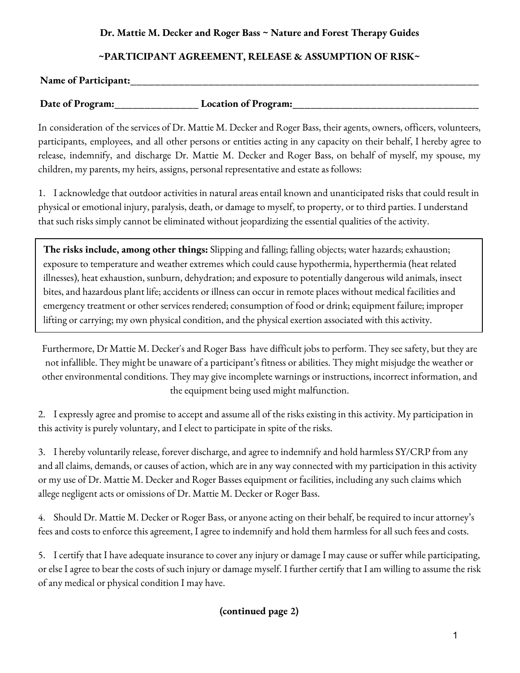## **Dr. Mattie M. Decker and Roger Bass ~ Nature and Forest Therapy Guides**

# **~PARTICIPANT AGREEMENT, RELEASE & ASSUMPTION OF RISK~**

#### **Name of Participant:\_\_\_\_\_\_\_\_\_\_\_\_\_\_\_\_\_\_\_\_\_\_\_\_\_\_\_\_\_\_\_\_\_\_\_\_\_\_\_\_\_\_\_\_\_\_\_\_\_\_\_\_\_\_\_\_\_\_**

Date of Program: Location of Program:

In consideration of the services of Dr. Mattie M. Decker and Roger Bass, their agents, owners, officers, volunteers, participants, employees, and all other persons or entities acting in any capacity on their behalf, I hereby agree to release, indemnify, and discharge Dr. Mattie M. Decker and Roger Bass, on behalf of myself, my spouse, my children, my parents, my heirs, assigns, personal representative and estate as follows:

1. I acknowledge that outdoor activities in natural areas entail known and unanticipated risks that could result in physical or emotional injury, paralysis, death, or damage to myself, to property, or to third parties. I understand that such risks simply cannot be eliminated without jeopardizing the essential qualities of the activity.

**The risks include, among other things:** Slipping and falling; falling objects; water hazards; exhaustion; exposure to temperature and weather extremes which could cause hypothermia, hyperthermia (heat related illnesses), heat exhaustion, sunburn, dehydration; and exposure to potentially dangerous wild animals, insect bites, and hazardous plant life; accidents or illness can occur in remote places without medical facilities and emergency treatment or other services rendered; consumption of food or drink; equipment failure; improper lifting or carrying; my own physical condition, and the physical exertion associated with this activity.

Furthermore, Dr Mattie M. Decker's and Roger Bass have difficult jobs to perform. They see safety, but they are not infallible. They might be unaware of a participant's fitness or abilities. They might misjudge the weather or other environmental conditions. They may give incomplete warnings or instructions, incorrect information, and the equipment being used might malfunction.

2. I expressly agree and promise to accept and assume all of the risks existing in this activity. My participation in this activity is purely voluntary, and I elect to participate in spite of the risks.

3. I hereby voluntarily release, forever discharge, and agree to indemnify and hold harmless SY/CRP from any and all claims, demands, or causes of action, which are in any way connected with my participation in this activity or my use of Dr. Mattie M. Decker and Roger Basses equipment or facilities, including any such claims which allege negligent acts or omissions of Dr. Mattie M. Decker or Roger Bass.

4. Should Dr. Mattie M. Decker or Roger Bass, or anyone acting on their behalf, be required to incur attorney's fees and costs to enforce this agreement, I agree to indemnify and hold them harmless for all such fees and costs.

5. I certify that I have adequate insurance to cover any injury or damage I may cause or suffer while participating, or else I agree to bear the costs of such injury or damage myself. I further certify that I am willing to assume the risk of any medical or physical condition I may have.

**(continued page 2)**